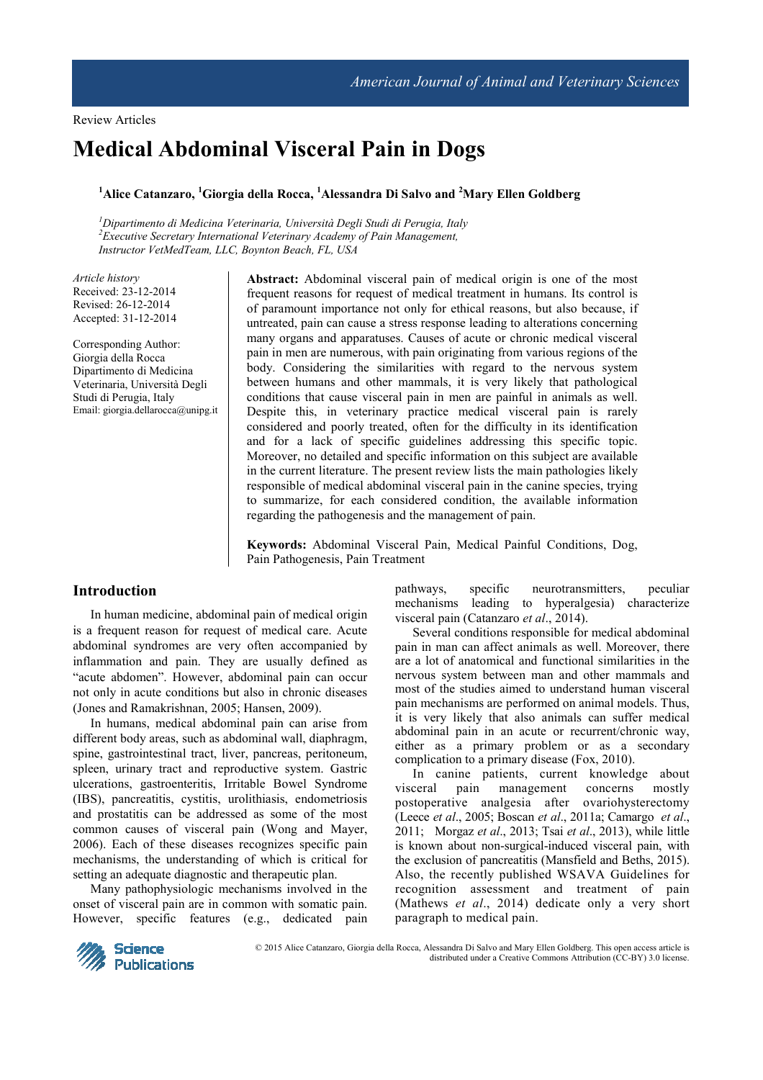# **Medical Abdominal Visceral Pain in Dogs**

# **<sup>1</sup>Alice Catanzaro, <sup>1</sup>Giorgia della Rocca, <sup>1</sup>Alessandra Di Salvo and <sup>2</sup>Mary Ellen Goldberg**

*<sup>1</sup>Dipartimento di Medicina Veterinaria, Università Degli Studi di Perugia, Italy <sup>2</sup>Executive Secretary International Veterinary Academy of Pain Management, Instructor VetMedTeam, LLC, Boynton Beach, FL, USA* 

*Article history*  Received: 23-12-2014 Revised: 26-12-2014 Accepted: 31-12-2014

Corresponding Author: Giorgia della Rocca Dipartimento di Medicina Veterinaria, Università Degli Studi di Perugia, Italy Email: giorgia.dellarocca@unipg.it **Abstract:** Abdominal visceral pain of medical origin is one of the most frequent reasons for request of medical treatment in humans. Its control is of paramount importance not only for ethical reasons, but also because, if untreated, pain can cause a stress response leading to alterations concerning many organs and apparatuses. Causes of acute or chronic medical visceral pain in men are numerous, with pain originating from various regions of the body. Considering the similarities with regard to the nervous system between humans and other mammals, it is very likely that pathological conditions that cause visceral pain in men are painful in animals as well. Despite this, in veterinary practice medical visceral pain is rarely considered and poorly treated, often for the difficulty in its identification and for a lack of specific guidelines addressing this specific topic. Moreover, no detailed and specific information on this subject are available in the current literature. The present review lists the main pathologies likely responsible of medical abdominal visceral pain in the canine species, trying to summarize, for each considered condition, the available information regarding the pathogenesis and the management of pain.

**Keywords:** Abdominal Visceral Pain, Medical Painful Conditions, Dog, Pain Pathogenesis, Pain Treatment

# **Introduction**

In human medicine, abdominal pain of medical origin is a frequent reason for request of medical care. Acute abdominal syndromes are very often accompanied by inflammation and pain. They are usually defined as "acute abdomen". However, abdominal pain can occur not only in acute conditions but also in chronic diseases (Jones and Ramakrishnan, 2005; Hansen, 2009).

In humans, medical abdominal pain can arise from different body areas, such as abdominal wall, diaphragm, spine, gastrointestinal tract, liver, pancreas, peritoneum, spleen, urinary tract and reproductive system. Gastric ulcerations, gastroenteritis, Irritable Bowel Syndrome (IBS), pancreatitis, cystitis, urolithiasis, endometriosis and prostatitis can be addressed as some of the most common causes of visceral pain (Wong and Mayer, 2006). Each of these diseases recognizes specific pain mechanisms, the understanding of which is critical for setting an adequate diagnostic and therapeutic plan.

Many pathophysiologic mechanisms involved in the onset of visceral pain are in common with somatic pain. However, specific features (e.g., dedicated pain pathways, specific neurotransmitters, peculiar mechanisms leading to hyperalgesia) characterize visceral pain (Catanzaro *et al*., 2014).

Several conditions responsible for medical abdominal pain in man can affect animals as well. Moreover, there are a lot of anatomical and functional similarities in the nervous system between man and other mammals and most of the studies aimed to understand human visceral pain mechanisms are performed on animal models. Thus, it is very likely that also animals can suffer medical abdominal pain in an acute or recurrent/chronic way, either as a primary problem or as a secondary complication to a primary disease (Fox, 2010).

In canine patients, current knowledge about visceral pain management concerns mostly postoperative analgesia after ovariohysterectomy (Leece *et al*., 2005; Boscan *et al*., 2011a; Camargo *et al*., 2011; Morgaz *et al*., 2013; Tsai *et al*., 2013), while little is known about non-surgical-induced visceral pain, with the exclusion of pancreatitis (Mansfield and Beths, 2015). Also, the recently published WSAVA Guidelines for recognition assessment and treatment of pain (Mathews *et al*., 2014) dedicate only a very short paragraph to medical pain.



© 2015 Alice Catanzaro, Giorgia della Rocca, Alessandra Di Salvo and Mary Ellen Goldberg. This open access article is distributed under a Creative Commons Attribution (CC-BY) 3.0 license.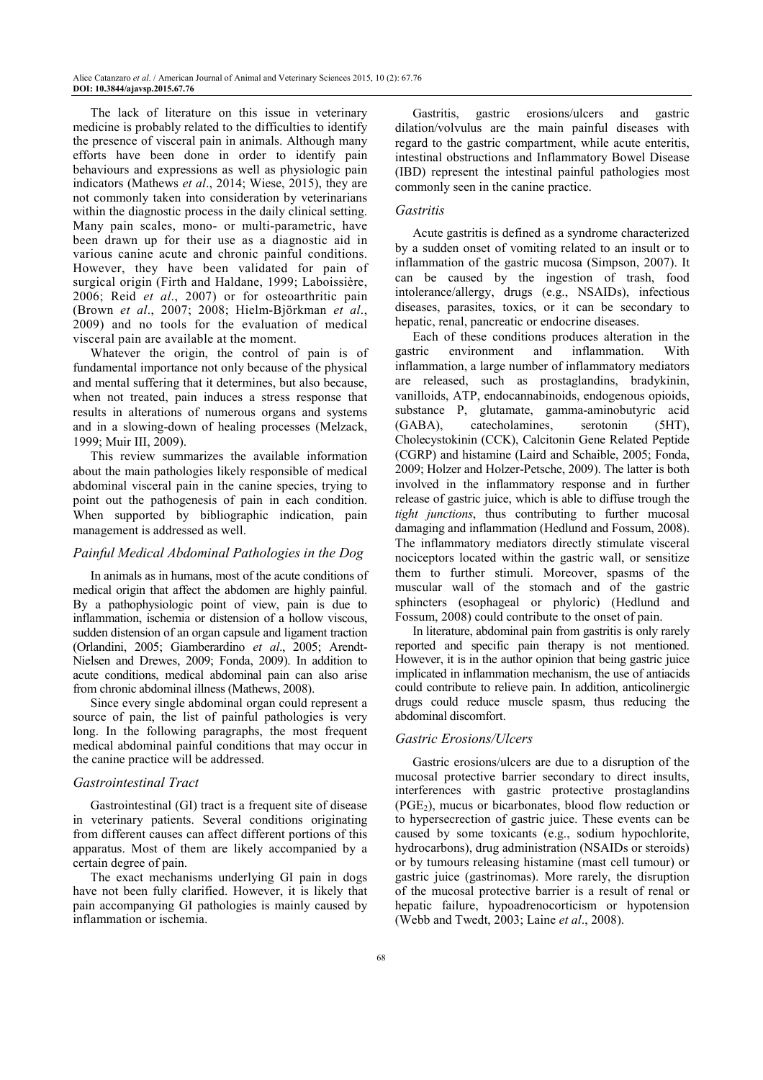The lack of literature on this issue in veterinary medicine is probably related to the difficulties to identify the presence of visceral pain in animals. Although many efforts have been done in order to identify pain behaviours and expressions as well as physiologic pain indicators (Mathews *et al*., 2014; Wiese, 2015), they are not commonly taken into consideration by veterinarians within the diagnostic process in the daily clinical setting. Many pain scales, mono- or multi-parametric, have been drawn up for their use as a diagnostic aid in various canine acute and chronic painful conditions. However, they have been validated for pain of surgical origin (Firth and Haldane, 1999; Laboissière, 2006; Reid *et al*., 2007) or for osteoarthritic pain (Brown *et al*., 2007; 2008; Hielm-Björkman *et al*., 2009) and no tools for the evaluation of medical visceral pain are available at the moment.

Whatever the origin, the control of pain is of fundamental importance not only because of the physical and mental suffering that it determines, but also because, when not treated, pain induces a stress response that results in alterations of numerous organs and systems and in a slowing-down of healing processes (Melzack, 1999; Muir III, 2009).

This review summarizes the available information about the main pathologies likely responsible of medical abdominal visceral pain in the canine species, trying to point out the pathogenesis of pain in each condition. When supported by bibliographic indication, pain management is addressed as well.

## *Painful Medical Abdominal Pathologies in the Dog*

In animals as in humans, most of the acute conditions of medical origin that affect the abdomen are highly painful. By a pathophysiologic point of view, pain is due to inflammation, ischemia or distension of a hollow viscous, sudden distension of an organ capsule and ligament traction (Orlandini, 2005; Giamberardino *et al*., 2005; Arendt-Nielsen and Drewes, 2009; Fonda, 2009). In addition to acute conditions, medical abdominal pain can also arise from chronic abdominal illness (Mathews, 2008).

Since every single abdominal organ could represent a source of pain, the list of painful pathologies is very long. In the following paragraphs, the most frequent medical abdominal painful conditions that may occur in the canine practice will be addressed.

## *Gastrointestinal Tract*

Gastrointestinal (GI) tract is a frequent site of disease in veterinary patients. Several conditions originating from different causes can affect different portions of this apparatus. Most of them are likely accompanied by a certain degree of pain.

The exact mechanisms underlying GI pain in dogs have not been fully clarified. However, it is likely that pain accompanying GI pathologies is mainly caused by inflammation or ischemia.

Gastritis, gastric erosions/ulcers and gastric dilation/volvulus are the main painful diseases with regard to the gastric compartment, while acute enteritis, intestinal obstructions and Inflammatory Bowel Disease (IBD) represent the intestinal painful pathologies most commonly seen in the canine practice.

# *Gastritis*

Acute gastritis is defined as a syndrome characterized by a sudden onset of vomiting related to an insult or to inflammation of the gastric mucosa (Simpson, 2007). It can be caused by the ingestion of trash, food intolerance/allergy, drugs (e.g., NSAIDs), infectious diseases, parasites, toxics, or it can be secondary to hepatic, renal, pancreatic or endocrine diseases.

Each of these conditions produces alteration in the gastric environment and inflammation. With inflammation, a large number of inflammatory mediators are released, such as prostaglandins, bradykinin, vanilloids, ATP, endocannabinoids, endogenous opioids, substance P, glutamate, gamma-aminobutyric acid (GABA), catecholamines, serotonin (5HT), Cholecystokinin (CCK), Calcitonin Gene Related Peptide (CGRP) and histamine (Laird and Schaible, 2005; Fonda, 2009; Holzer and Holzer-Petsche, 2009). The latter is both involved in the inflammatory response and in further release of gastric juice, which is able to diffuse trough the *tight junctions*, thus contributing to further mucosal damaging and inflammation (Hedlund and Fossum, 2008). The inflammatory mediators directly stimulate visceral nociceptors located within the gastric wall, or sensitize them to further stimuli. Moreover, spasms of the muscular wall of the stomach and of the gastric sphincters (esophageal or phyloric) (Hedlund and Fossum, 2008) could contribute to the onset of pain.

In literature, abdominal pain from gastritis is only rarely reported and specific pain therapy is not mentioned. However, it is in the author opinion that being gastric juice implicated in inflammation mechanism, the use of antiacids could contribute to relieve pain. In addition, anticolinergic drugs could reduce muscle spasm, thus reducing the abdominal discomfort.

## *Gastric Erosions/Ulcers*

Gastric erosions/ulcers are due to a disruption of the mucosal protective barrier secondary to direct insults, interferences with gastric protective prostaglandins  $(PGE<sub>2</sub>)$ , mucus or bicarbonates, blood flow reduction or to hypersecrection of gastric juice. These events can be caused by some toxicants (e.g., sodium hypochlorite, hydrocarbons), drug administration (NSAIDs or steroids) or by tumours releasing histamine (mast cell tumour) or gastric juice (gastrinomas). More rarely, the disruption of the mucosal protective barrier is a result of renal or hepatic failure, hypoadrenocorticism or hypotension (Webb and Twedt, 2003; Laine *et al*., 2008).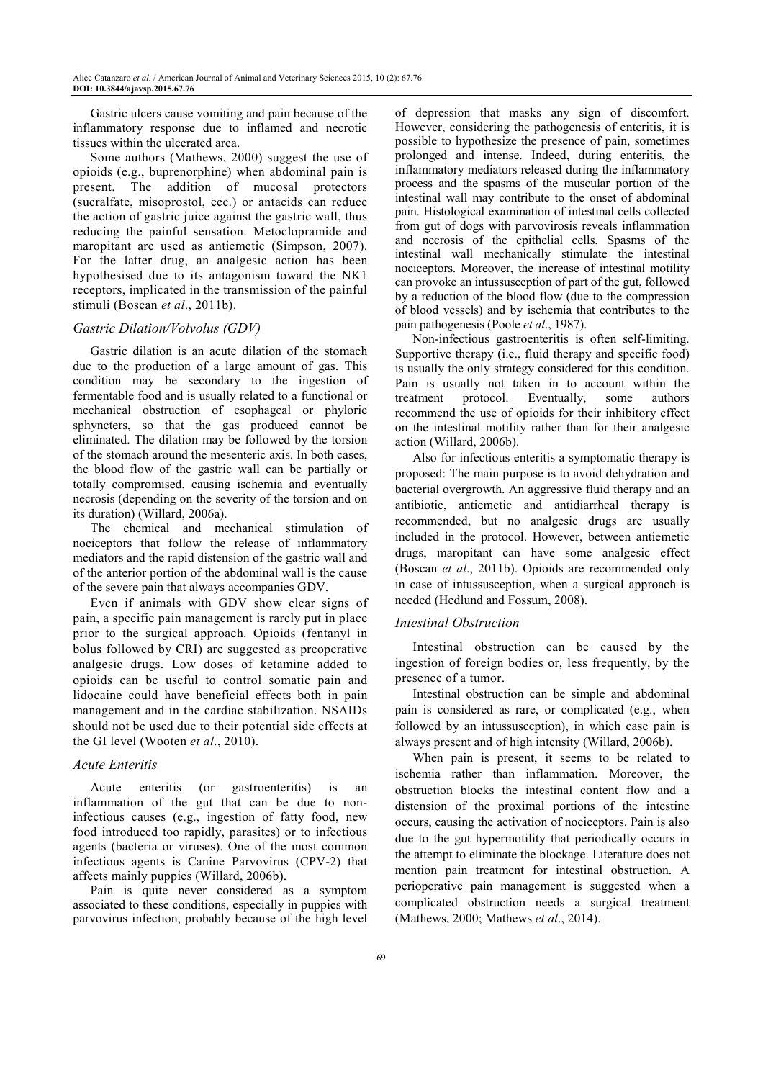Gastric ulcers cause vomiting and pain because of the inflammatory response due to inflamed and necrotic tissues within the ulcerated area.

Some authors (Mathews, 2000) suggest the use of opioids (e.g., buprenorphine) when abdominal pain is present. The addition of mucosal protectors (sucralfate, misoprostol, ecc.) or antacids can reduce the action of gastric juice against the gastric wall, thus reducing the painful sensation. Metoclopramide and maropitant are used as antiemetic (Simpson, 2007). For the latter drug, an analgesic action has been hypothesised due to its antagonism toward the NK1 receptors, implicated in the transmission of the painful stimuli (Boscan *et al*., 2011b).

# *Gastric Dilation/Volvolus (GDV)*

Gastric dilation is an acute dilation of the stomach due to the production of a large amount of gas. This condition may be secondary to the ingestion of fermentable food and is usually related to a functional or mechanical obstruction of esophageal or phyloric sphyncters, so that the gas produced cannot be eliminated. The dilation may be followed by the torsion of the stomach around the mesenteric axis. In both cases, the blood flow of the gastric wall can be partially or totally compromised, causing ischemia and eventually necrosis (depending on the severity of the torsion and on its duration) (Willard, 2006a).

The chemical and mechanical stimulation of nociceptors that follow the release of inflammatory mediators and the rapid distension of the gastric wall and of the anterior portion of the abdominal wall is the cause of the severe pain that always accompanies GDV.

Even if animals with GDV show clear signs of pain, a specific pain management is rarely put in place prior to the surgical approach. Opioids (fentanyl in bolus followed by CRI) are suggested as preoperative analgesic drugs. Low doses of ketamine added to opioids can be useful to control somatic pain and lidocaine could have beneficial effects both in pain management and in the cardiac stabilization. NSAIDs should not be used due to their potential side effects at the GI level (Wooten *et al*., 2010).

## *Acute Enteritis*

Acute enteritis (or gastroenteritis) is an inflammation of the gut that can be due to noninfectious causes (e.g., ingestion of fatty food, new food introduced too rapidly, parasites) or to infectious agents (bacteria or viruses). One of the most common infectious agents is Canine Parvovirus (CPV-2) that affects mainly puppies (Willard, 2006b).

Pain is quite never considered as a symptom associated to these conditions, especially in puppies with parvovirus infection, probably because of the high level of depression that masks any sign of discomfort. However, considering the pathogenesis of enteritis, it is possible to hypothesize the presence of pain, sometimes prolonged and intense. Indeed, during enteritis, the inflammatory mediators released during the inflammatory process and the spasms of the muscular portion of the intestinal wall may contribute to the onset of abdominal pain. Histological examination of intestinal cells collected from gut of dogs with parvovirosis reveals inflammation and necrosis of the epithelial cells. Spasms of the intestinal wall mechanically stimulate the intestinal nociceptors. Moreover, the increase of intestinal motility can provoke an intussusception of part of the gut, followed by a reduction of the blood flow (due to the compression of blood vessels) and by ischemia that contributes to the pain pathogenesis (Poole *et al*., 1987).

Non-infectious gastroenteritis is often self-limiting. Supportive therapy (i.e., fluid therapy and specific food) is usually the only strategy considered for this condition. Pain is usually not taken in to account within the treatment protocol. Eventually, some authors recommend the use of opioids for their inhibitory effect on the intestinal motility rather than for their analgesic action (Willard, 2006b).

Also for infectious enteritis a symptomatic therapy is proposed: The main purpose is to avoid dehydration and bacterial overgrowth. An aggressive fluid therapy and an antibiotic, antiemetic and antidiarrheal therapy is recommended, but no analgesic drugs are usually included in the protocol. However, between antiemetic drugs, maropitant can have some analgesic effect (Boscan *et al*., 2011b). Opioids are recommended only in case of intussusception, when a surgical approach is needed (Hedlund and Fossum, 2008).

## *Intestinal Obstruction*

Intestinal obstruction can be caused by the ingestion of foreign bodies or, less frequently, by the presence of a tumor.

Intestinal obstruction can be simple and abdominal pain is considered as rare, or complicated (e.g., when followed by an intussusception), in which case pain is always present and of high intensity (Willard, 2006b).

When pain is present, it seems to be related to ischemia rather than inflammation. Moreover, the obstruction blocks the intestinal content flow and a distension of the proximal portions of the intestine occurs, causing the activation of nociceptors. Pain is also due to the gut hypermotility that periodically occurs in the attempt to eliminate the blockage. Literature does not mention pain treatment for intestinal obstruction. A perioperative pain management is suggested when a complicated obstruction needs a surgical treatment (Mathews, 2000; Mathews *et al*., 2014).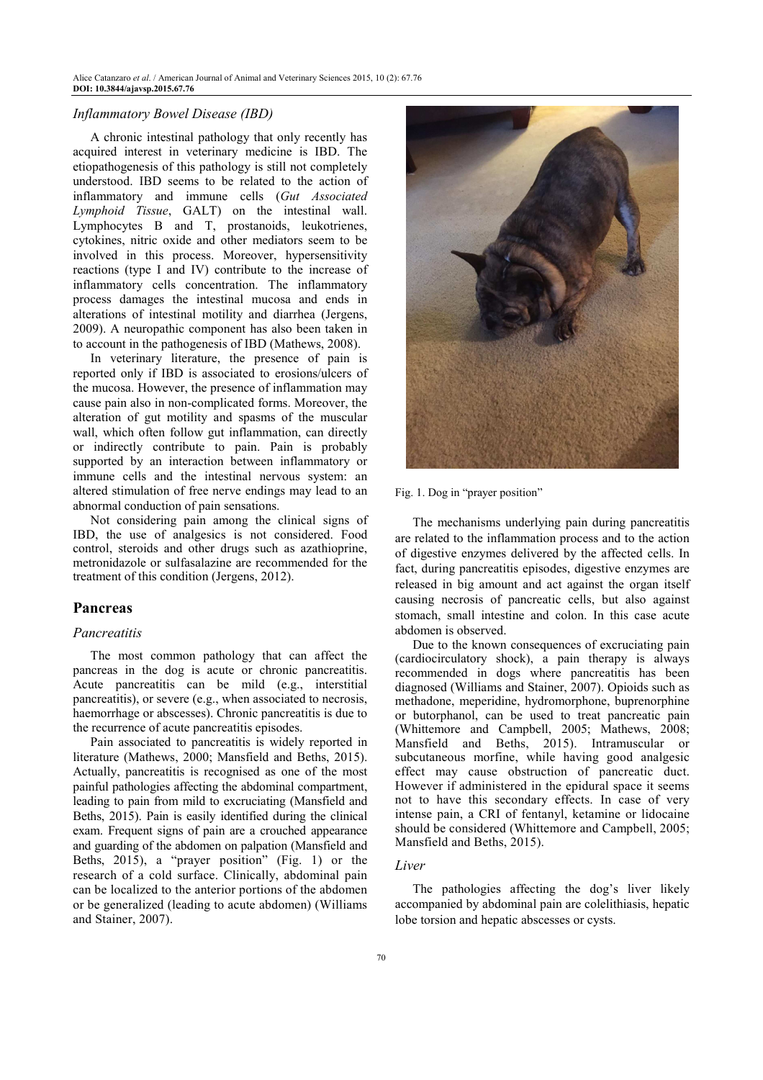Alice Catanzaro *et al*. / American Journal of Animal and Veterinary Sciences 2015, 10 (2): 67.76 **DOI: 10.3844/ajavsp.2015.67.76** 

#### *Inflammatory Bowel Disease (IBD)*

A chronic intestinal pathology that only recently has acquired interest in veterinary medicine is IBD. The etiopathogenesis of this pathology is still not completely understood. IBD seems to be related to the action of inflammatory and immune cells (*Gut Associated Lymphoid Tissue*, GALT) on the intestinal wall. Lymphocytes B and T, prostanoids, leukotrienes, cytokines, nitric oxide and other mediators seem to be involved in this process. Moreover, hypersensitivity reactions (type I and IV) contribute to the increase of inflammatory cells concentration. The inflammatory process damages the intestinal mucosa and ends in alterations of intestinal motility and diarrhea (Jergens, 2009). A neuropathic component has also been taken in to account in the pathogenesis of IBD (Mathews, 2008).

In veterinary literature, the presence of pain is reported only if IBD is associated to erosions/ulcers of the mucosa. However, the presence of inflammation may cause pain also in non-complicated forms. Moreover, the alteration of gut motility and spasms of the muscular wall, which often follow gut inflammation, can directly or indirectly contribute to pain. Pain is probably supported by an interaction between inflammatory or immune cells and the intestinal nervous system: an altered stimulation of free nerve endings may lead to an abnormal conduction of pain sensations.

Not considering pain among the clinical signs of IBD, the use of analgesics is not considered. Food control, steroids and other drugs such as azathioprine, metronidazole or sulfasalazine are recommended for the treatment of this condition (Jergens, 2012).

## **Pancreas**

#### *Pancreatitis*

The most common pathology that can affect the pancreas in the dog is acute or chronic pancreatitis. Acute pancreatitis can be mild (e.g., interstitial pancreatitis), or severe (e.g., when associated to necrosis, haemorrhage or abscesses). Chronic pancreatitis is due to the recurrence of acute pancreatitis episodes.

Pain associated to pancreatitis is widely reported in literature (Mathews, 2000; Mansfield and Beths, 2015). Actually, pancreatitis is recognised as one of the most painful pathologies affecting the abdominal compartment, leading to pain from mild to excruciating (Mansfield and Beths, 2015). Pain is easily identified during the clinical exam. Frequent signs of pain are a crouched appearance and guarding of the abdomen on palpation (Mansfield and Beths, 2015), a "prayer position" (Fig. 1) or the research of a cold surface. Clinically, abdominal pain can be localized to the anterior portions of the abdomen or be generalized (leading to acute abdomen) (Williams and Stainer, 2007).



Fig. 1. Dog in "prayer position"

The mechanisms underlying pain during pancreatitis are related to the inflammation process and to the action of digestive enzymes delivered by the affected cells. In fact, during pancreatitis episodes, digestive enzymes are released in big amount and act against the organ itself causing necrosis of pancreatic cells, but also against stomach, small intestine and colon. In this case acute abdomen is observed.

Due to the known consequences of excruciating pain (cardiocirculatory shock), a pain therapy is always recommended in dogs where pancreatitis has been diagnosed (Williams and Stainer, 2007). Opioids such as methadone, meperidine, hydromorphone, buprenorphine or butorphanol, can be used to treat pancreatic pain (Whittemore and Campbell, 2005; Mathews, 2008; Mansfield and Beths, 2015). Intramuscular or subcutaneous morfine, while having good analgesic effect may cause obstruction of pancreatic duct. However if administered in the epidural space it seems not to have this secondary effects. In case of very intense pain, a CRI of fentanyl, ketamine or lidocaine should be considered (Whittemore and Campbell, 2005; Mansfield and Beths, 2015).

#### *Liver*

The pathologies affecting the dog's liver likely accompanied by abdominal pain are colelithiasis, hepatic lobe torsion and hepatic abscesses or cysts.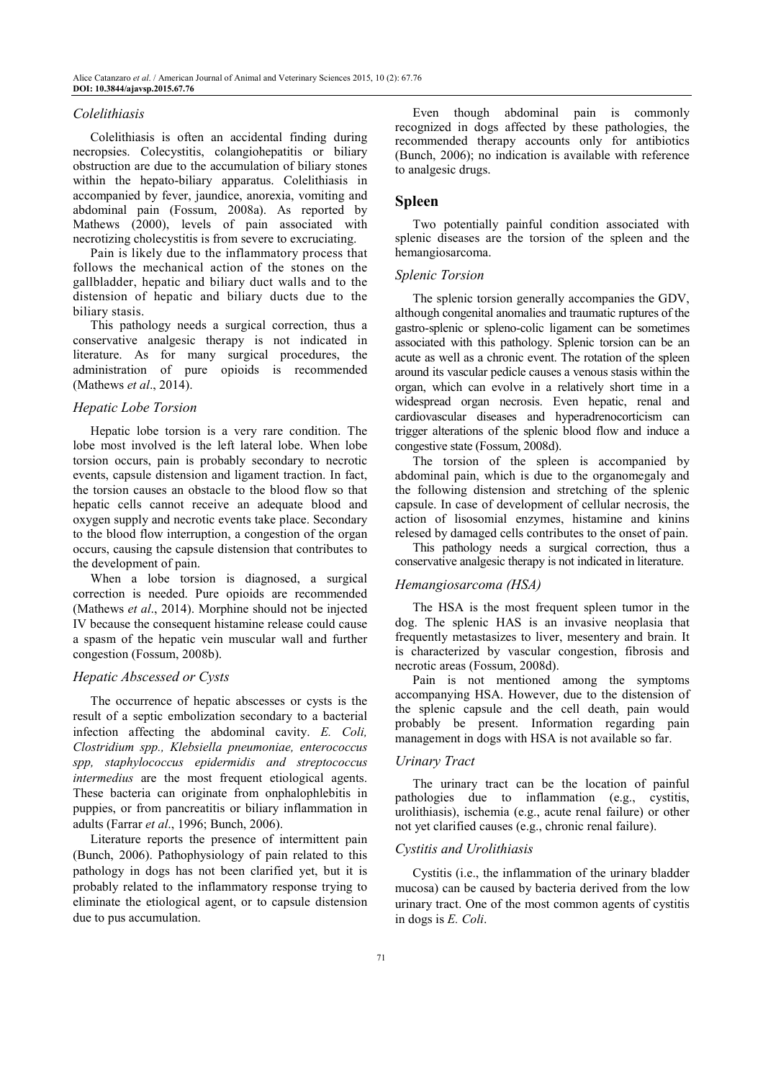#### *Colelithiasis*

Colelithiasis is often an accidental finding during necropsies. Colecystitis, colangiohepatitis or biliary obstruction are due to the accumulation of biliary stones within the hepato-biliary apparatus. Colelithiasis in accompanied by fever, jaundice, anorexia, vomiting and abdominal pain (Fossum, 2008a). As reported by Mathews (2000), levels of pain associated with necrotizing cholecystitis is from severe to excruciating.

Pain is likely due to the inflammatory process that follows the mechanical action of the stones on the gallbladder, hepatic and biliary duct walls and to the distension of hepatic and biliary ducts due to the biliary stasis.

This pathology needs a surgical correction, thus a conservative analgesic therapy is not indicated in literature. As for many surgical procedures, the administration of pure opioids is recommended (Mathews *et al*., 2014).

#### *Hepatic Lobe Torsion*

Hepatic lobe torsion is a very rare condition. The lobe most involved is the left lateral lobe. When lobe torsion occurs, pain is probably secondary to necrotic events, capsule distension and ligament traction. In fact, the torsion causes an obstacle to the blood flow so that hepatic cells cannot receive an adequate blood and oxygen supply and necrotic events take place. Secondary to the blood flow interruption, a congestion of the organ occurs, causing the capsule distension that contributes to the development of pain.

When a lobe torsion is diagnosed, a surgical correction is needed. Pure opioids are recommended (Mathews *et al*., 2014). Morphine should not be injected IV because the consequent histamine release could cause a spasm of the hepatic vein muscular wall and further congestion (Fossum, 2008b).

#### *Hepatic Abscessed or Cysts*

The occurrence of hepatic abscesses or cysts is the result of a septic embolization secondary to a bacterial infection affecting the abdominal cavity. *E. Coli, Clostridium spp., Klebsiella pneumoniae, enterococcus spp, staphylococcus epidermidis and streptococcus intermedius* are the most frequent etiological agents. These bacteria can originate from onphalophlebitis in puppies, or from pancreatitis or biliary inflammation in adults (Farrar *et al*., 1996; Bunch, 2006).

Literature reports the presence of intermittent pain (Bunch, 2006). Pathophysiology of pain related to this pathology in dogs has not been clarified yet, but it is probably related to the inflammatory response trying to eliminate the etiological agent, or to capsule distension due to pus accumulation.

Even though abdominal pain is commonly recognized in dogs affected by these pathologies, the recommended therapy accounts only for antibiotics (Bunch, 2006); no indication is available with reference to analgesic drugs.

#### **Spleen**

Two potentially painful condition associated with splenic diseases are the torsion of the spleen and the hemangiosarcoma.

#### *Splenic Torsion*

The splenic torsion generally accompanies the GDV, although congenital anomalies and traumatic ruptures of the gastro-splenic or spleno-colic ligament can be sometimes associated with this pathology. Splenic torsion can be an acute as well as a chronic event. The rotation of the spleen around its vascular pedicle causes a venous stasis within the organ, which can evolve in a relatively short time in a widespread organ necrosis. Even hepatic, renal and cardiovascular diseases and hyperadrenocorticism can trigger alterations of the splenic blood flow and induce a congestive state (Fossum, 2008d).

The torsion of the spleen is accompanied by abdominal pain, which is due to the organomegaly and the following distension and stretching of the splenic capsule. In case of development of cellular necrosis, the action of lisosomial enzymes, histamine and kinins relesed by damaged cells contributes to the onset of pain.

This pathology needs a surgical correction, thus a conservative analgesic therapy is not indicated in literature.

#### *Hemangiosarcoma (HSA)*

The HSA is the most frequent spleen tumor in the dog. The splenic HAS is an invasive neoplasia that frequently metastasizes to liver, mesentery and brain. It is characterized by vascular congestion, fibrosis and necrotic areas (Fossum, 2008d).

Pain is not mentioned among the symptoms accompanying HSA. However, due to the distension of the splenic capsule and the cell death, pain would probably be present. Information regarding pain management in dogs with HSA is not available so far.

#### *Urinary Tract*

The urinary tract can be the location of painful pathologies due to inflammation (e.g., cystitis, urolithiasis), ischemia (e.g., acute renal failure) or other not yet clarified causes (e.g., chronic renal failure).

#### *Cystitis and Urolithiasis*

Cystitis (i.e., the inflammation of the urinary bladder mucosa) can be caused by bacteria derived from the low urinary tract. One of the most common agents of cystitis in dogs is *E. Coli*.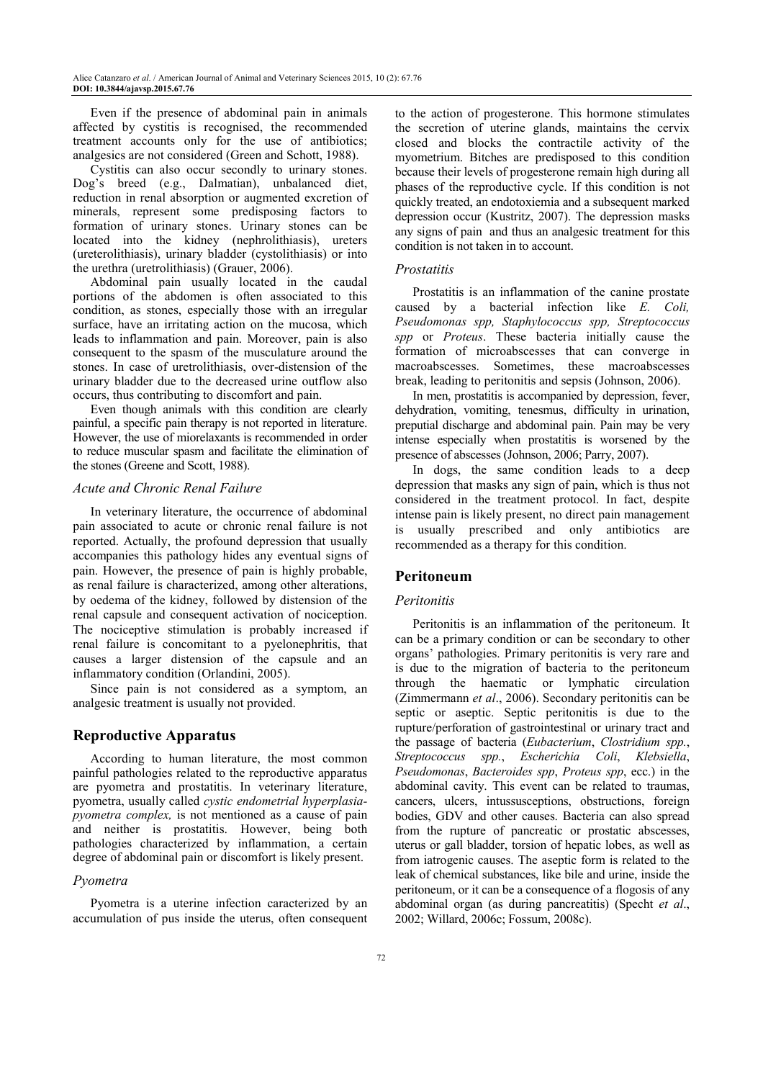Even if the presence of abdominal pain in animals affected by cystitis is recognised, the recommended treatment accounts only for the use of antibiotics; analgesics are not considered (Green and Schott, 1988).

Cystitis can also occur secondly to urinary stones. Dog's breed (e.g., Dalmatian), unbalanced diet, reduction in renal absorption or augmented excretion of minerals, represent some predisposing factors to formation of urinary stones. Urinary stones can be located into the kidney (nephrolithiasis), ureters (ureterolithiasis), urinary bladder (cystolithiasis) or into the urethra (uretrolithiasis) (Grauer, 2006).

Abdominal pain usually located in the caudal portions of the abdomen is often associated to this condition, as stones, especially those with an irregular surface, have an irritating action on the mucosa, which leads to inflammation and pain. Moreover, pain is also consequent to the spasm of the musculature around the stones. In case of uretrolithiasis, over-distension of the urinary bladder due to the decreased urine outflow also occurs, thus contributing to discomfort and pain.

Even though animals with this condition are clearly painful, a specific pain therapy is not reported in literature. However, the use of miorelaxants is recommended in order to reduce muscular spasm and facilitate the elimination of the stones (Greene and Scott, 1988).

## *Acute and Chronic Renal Failure*

In veterinary literature, the occurrence of abdominal pain associated to acute or chronic renal failure is not reported. Actually, the profound depression that usually accompanies this pathology hides any eventual signs of pain. However, the presence of pain is highly probable, as renal failure is characterized, among other alterations, by oedema of the kidney, followed by distension of the renal capsule and consequent activation of nociception. The nociceptive stimulation is probably increased if renal failure is concomitant to a pyelonephritis, that causes a larger distension of the capsule and an inflammatory condition (Orlandini, 2005).

Since pain is not considered as a symptom, an analgesic treatment is usually not provided.

# **Reproductive Apparatus**

According to human literature, the most common painful pathologies related to the reproductive apparatus are pyometra and prostatitis. In veterinary literature, pyometra, usually called *cystic endometrial hyperplasiapyometra complex,* is not mentioned as a cause of pain and neither is prostatitis. However, being both pathologies characterized by inflammation, a certain degree of abdominal pain or discomfort is likely present.

#### *Pyometra*

Pyometra is a uterine infection caracterized by an accumulation of pus inside the uterus, often consequent to the action of progesterone. This hormone stimulates the secretion of uterine glands, maintains the cervix closed and blocks the contractile activity of the myometrium. Bitches are predisposed to this condition because their levels of progesterone remain high during all phases of the reproductive cycle. If this condition is not quickly treated, an endotoxiemia and a subsequent marked depression occur (Kustritz, 2007). The depression masks any signs of pain and thus an analgesic treatment for this condition is not taken in to account.

#### *Prostatitis*

Prostatitis is an inflammation of the canine prostate caused by a bacterial infection like *E. Coli, Pseudomonas spp, Staphylococcus spp, Streptococcus spp* or *Proteus*. These bacteria initially cause the formation of microabscesses that can converge in macroabscesses. Sometimes, these macroabscesses break, leading to peritonitis and sepsis (Johnson, 2006).

In men, prostatitis is accompanied by depression, fever, dehydration, vomiting, tenesmus, difficulty in urination, preputial discharge and abdominal pain. Pain may be very intense especially when prostatitis is worsened by the presence of abscesses (Johnson, 2006; Parry, 2007).

In dogs, the same condition leads to a deep depression that masks any sign of pain, which is thus not considered in the treatment protocol. In fact, despite intense pain is likely present, no direct pain management is usually prescribed and only antibiotics are recommended as a therapy for this condition.

# **Peritoneum**

#### *Peritonitis*

Peritonitis is an inflammation of the peritoneum. It can be a primary condition or can be secondary to other organs' pathologies. Primary peritonitis is very rare and is due to the migration of bacteria to the peritoneum through the haematic or lymphatic circulation (Zimmermann *et al*., 2006). Secondary peritonitis can be septic or aseptic. Septic peritonitis is due to the rupture/perforation of gastrointestinal or urinary tract and the passage of bacteria (*Eubacterium*, *Clostridium spp.*, *Streptococcus spp.*, *Escherichia Coli*, *Klebsiella*, *Pseudomonas*, *Bacteroides spp*, *Proteus spp*, ecc.) in the abdominal cavity. This event can be related to traumas, cancers, ulcers, intussusceptions, obstructions, foreign bodies, GDV and other causes. Bacteria can also spread from the rupture of pancreatic or prostatic abscesses, uterus or gall bladder, torsion of hepatic lobes, as well as from iatrogenic causes. The aseptic form is related to the leak of chemical substances, like bile and urine, inside the peritoneum, or it can be a consequence of a flogosis of any abdominal organ (as during pancreatitis) (Specht *et al*., 2002; Willard, 2006c; Fossum, 2008c).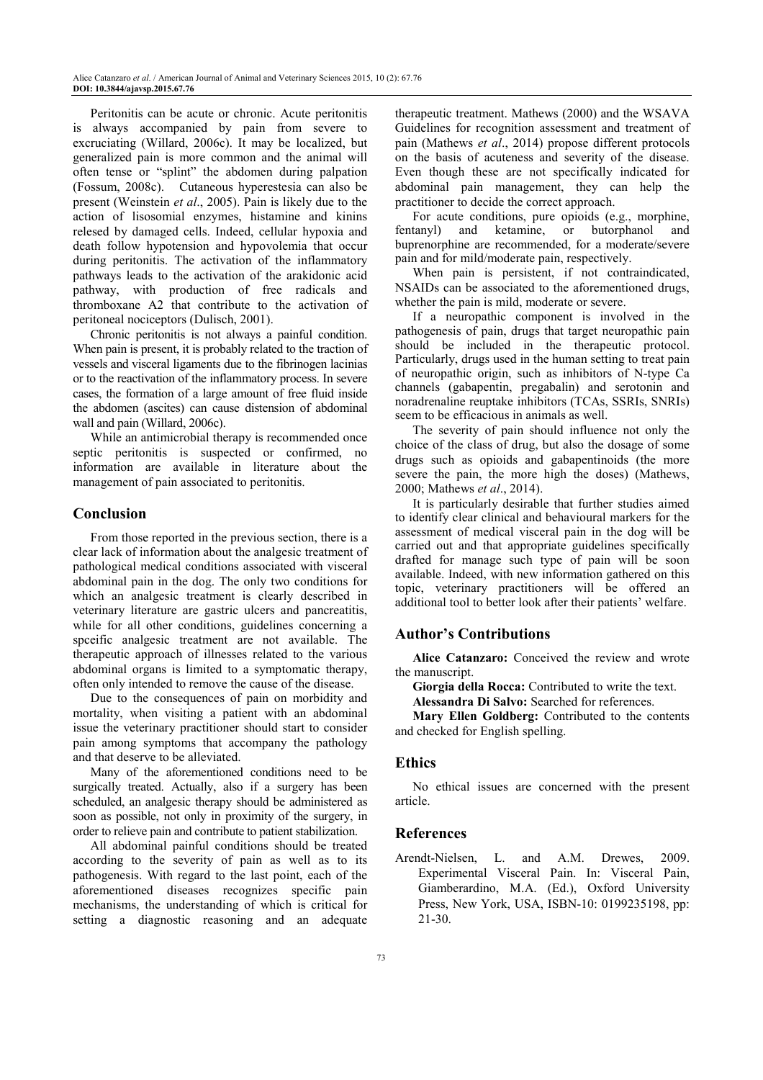Peritonitis can be acute or chronic. Acute peritonitis is always accompanied by pain from severe to excruciating (Willard, 2006c). It may be localized, but generalized pain is more common and the animal will often tense or "splint" the abdomen during palpation (Fossum, 2008c). Cutaneous hyperestesia can also be present (Weinstein *et al*., 2005). Pain is likely due to the action of lisosomial enzymes, histamine and kinins relesed by damaged cells. Indeed, cellular hypoxia and death follow hypotension and hypovolemia that occur during peritonitis. The activation of the inflammatory pathways leads to the activation of the arakidonic acid pathway, with production of free radicals and thromboxane A2 that contribute to the activation of peritoneal nociceptors (Dulisch, 2001).

Chronic peritonitis is not always a painful condition. When pain is present, it is probably related to the traction of vessels and visceral ligaments due to the fibrinogen lacinias or to the reactivation of the inflammatory process. In severe cases, the formation of a large amount of free fluid inside the abdomen (ascites) can cause distension of abdominal wall and pain (Willard, 2006c).

While an antimicrobial therapy is recommended once septic peritonitis is suspected or confirmed, no information are available in literature about the management of pain associated to peritonitis.

# **Conclusion**

From those reported in the previous section, there is a clear lack of information about the analgesic treatment of pathological medical conditions associated with visceral abdominal pain in the dog. The only two conditions for which an analgesic treatment is clearly described in veterinary literature are gastric ulcers and pancreatitis, while for all other conditions, guidelines concerning a spceific analgesic treatment are not available. The therapeutic approach of illnesses related to the various abdominal organs is limited to a symptomatic therapy, often only intended to remove the cause of the disease.

Due to the consequences of pain on morbidity and mortality, when visiting a patient with an abdominal issue the veterinary practitioner should start to consider pain among symptoms that accompany the pathology and that deserve to be alleviated.

Many of the aforementioned conditions need to be surgically treated. Actually, also if a surgery has been scheduled, an analgesic therapy should be administered as soon as possible, not only in proximity of the surgery, in order to relieve pain and contribute to patient stabilization.

All abdominal painful conditions should be treated according to the severity of pain as well as to its pathogenesis. With regard to the last point, each of the aforementioned diseases recognizes specific pain mechanisms, the understanding of which is critical for setting a diagnostic reasoning and an adequate

therapeutic treatment. Mathews (2000) and the WSAVA Guidelines for recognition assessment and treatment of pain (Mathews *et al*., 2014) propose different protocols on the basis of acuteness and severity of the disease. Even though these are not specifically indicated for abdominal pain management, they can help the practitioner to decide the correct approach.

For acute conditions, pure opioids (e.g., morphine, fentanyl) and ketamine, or butorphanol and buprenorphine are recommended, for a moderate/severe pain and for mild/moderate pain, respectively.

When pain is persistent, if not contraindicated, NSAIDs can be associated to the aforementioned drugs, whether the pain is mild, moderate or severe.

If a neuropathic component is involved in the pathogenesis of pain, drugs that target neuropathic pain should be included in the therapeutic protocol. Particularly, drugs used in the human setting to treat pain of neuropathic origin, such as inhibitors of N-type Ca channels (gabapentin, pregabalin) and serotonin and noradrenaline reuptake inhibitors (TCAs, SSRIs, SNRIs) seem to be efficacious in animals as well.

The severity of pain should influence not only the choice of the class of drug, but also the dosage of some drugs such as opioids and gabapentinoids (the more severe the pain, the more high the doses) (Mathews, 2000; Mathews *et al*., 2014).

It is particularly desirable that further studies aimed to identify clear clinical and behavioural markers for the assessment of medical visceral pain in the dog will be carried out and that appropriate guidelines specifically drafted for manage such type of pain will be soon available. Indeed, with new information gathered on this topic, veterinary practitioners will be offered an additional tool to better look after their patients' welfare.

# **Author's Contributions**

**Alice Catanzaro:** Conceived the review and wrote the manuscript.

**Giorgia della Rocca:** Contributed to write the text.

**Alessandra Di Salvo:** Searched for references.

**Mary Ellen Goldberg:** Contributed to the contents and checked for English spelling.

# **Ethics**

No ethical issues are concerned with the present article.

# **References**

Arendt-Nielsen, L. and A.M. Drewes, 2009. Experimental Visceral Pain. In: Visceral Pain, Giamberardino, M.A. (Ed.), Oxford University Press, New York, USA, ISBN-10: 0199235198, pp: 21-30.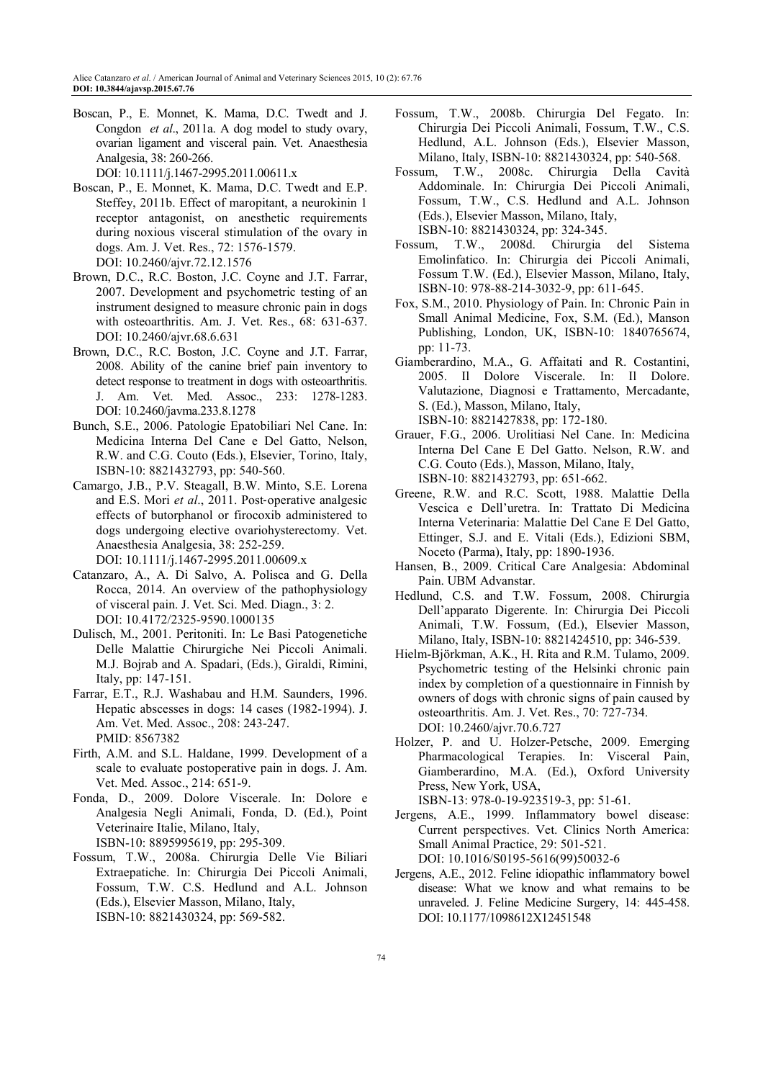Boscan, P., E. Monnet, K. Mama, D.C. Twedt and J. Congdon *et al*., 2011a. A dog model to study ovary, ovarian ligament and visceral pain. Vet. Anaesthesia Analgesia, 38: 260-266.

DOI: 10.1111/j.1467-2995.2011.00611.x

- Boscan, P., E. Monnet, K. Mama, D.C. Twedt and E.P. Steffey, 2011b. Effect of maropitant, a neurokinin 1 receptor antagonist, on anesthetic requirements during noxious visceral stimulation of the ovary in dogs. Am. J. Vet. Res., 72: 1576-1579. DOI: 10.2460/ajvr.72.12.1576
- Brown, D.C., R.C. Boston, J.C. Coyne and J.T. Farrar, 2007. Development and psychometric testing of an instrument designed to measure chronic pain in dogs with osteoarthritis. Am. J. Vet. Res., 68: 631-637. DOI: 10.2460/ajvr.68.6.631
- Brown, D.C., R.C. Boston, J.C. Coyne and J.T. Farrar, 2008. Ability of the canine brief pain inventory to detect response to treatment in dogs with osteoarthritis. J. Am. Vet. Med. Assoc., 233: 1278-1283. DOI: 10.2460/javma.233.8.1278
- Bunch, S.E., 2006. Patologie Epatobiliari Nel Cane. In: Medicina Interna Del Cane e Del Gatto, Nelson, R.W. and C.G. Couto (Eds.), Elsevier, Torino, Italy, ISBN-10: 8821432793, pp: 540-560.
- Camargo, J.B., P.V. Steagall, B.W. Minto, S.E. Lorena and E.S. Mori *et al*., 2011. Post‐operative analgesic effects of butorphanol or firocoxib administered to dogs undergoing elective ovariohysterectomy. Vet. Anaesthesia Analgesia, 38: 252-259. DOI: 10.1111/j.1467-2995.2011.00609.x
- Catanzaro, A., A. Di Salvo, A. Polisca and G. Della Rocca, 2014. An overview of the pathophysiology of visceral pain. J. Vet. Sci. Med. Diagn., 3: 2. DOI: 10.4172/2325-9590.1000135
- Dulisch, M., 2001. Peritoniti. In: Le Basi Patogenetiche Delle Malattie Chirurgiche Nei Piccoli Animali. M.J. Bojrab and A. Spadari, (Eds.), Giraldi, Rimini, Italy, pp: 147-151.
- Farrar, E.T., R.J. Washabau and H.M. Saunders, 1996. Hepatic abscesses in dogs: 14 cases (1982-1994). J. Am. Vet. Med. Assoc., 208: 243-247. PMID: 8567382
- Firth, A.M. and S.L. Haldane, 1999. Development of a scale to evaluate postoperative pain in dogs. J. Am. Vet. Med. Assoc., 214: 651-9.
- Fonda, D., 2009. Dolore Viscerale. In: Dolore e Analgesia Negli Animali, Fonda, D. (Ed.), Point Veterinaire Italie, Milano, Italy, ISBN-10: 8895995619, pp: 295-309.
- Fossum, T.W., 2008a. Chirurgia Delle Vie Biliari Extraepatiche. In: Chirurgia Dei Piccoli Animali, Fossum, T.W. C.S. Hedlund and A.L. Johnson (Eds.), Elsevier Masson, Milano, Italy, ISBN-10: 8821430324, pp: 569-582.
- Fossum, T.W., 2008b. Chirurgia Del Fegato. In: Chirurgia Dei Piccoli Animali, Fossum, T.W., C.S. Hedlund, A.L. Johnson (Eds.), Elsevier Masson, Milano, Italy, ISBN-10: 8821430324, pp: 540-568.
- Fossum, T.W., 2008c. Chirurgia Della Cavità Addominale. In: Chirurgia Dei Piccoli Animali, Fossum, T.W., C.S. Hedlund and A.L. Johnson (Eds.), Elsevier Masson, Milano, Italy, ISBN-10: 8821430324, pp: 324-345.
- Fossum, T.W., 2008d. Chirurgia del Sistema Emolinfatico. In: Chirurgia dei Piccoli Animali, Fossum T.W. (Ed.), Elsevier Masson, Milano, Italy, ISBN-10: 978-88-214-3032-9, pp: 611-645.
- Fox, S.M., 2010. Physiology of Pain. In: Chronic Pain in Small Animal Medicine, Fox, S.M. (Ed.), Manson Publishing, London, UK, ISBN-10: 1840765674, pp: 11-73.
- Giamberardino, M.A., G. Affaitati and R. Costantini, 2005. Il Dolore Viscerale. In: Il Dolore. Valutazione, Diagnosi e Trattamento, Mercadante, S. (Ed.), Masson, Milano, Italy, ISBN-10: 8821427838, pp: 172-180.
- Grauer, F.G., 2006. Urolitiasi Nel Cane. In: Medicina Interna Del Cane E Del Gatto. Nelson, R.W. and C.G. Couto (Eds.), Masson, Milano, Italy, ISBN-10: 8821432793, pp: 651-662.
- Greene, R.W. and R.C. Scott, 1988. Malattie Della Vescica e Dell'uretra. In: Trattato Di Medicina Interna Veterinaria: Malattie Del Cane E Del Gatto, Ettinger, S.J. and E. Vitali (Eds.), Edizioni SBM, Noceto (Parma), Italy, pp: 1890-1936.
- Hansen, B., 2009. Critical Care Analgesia: Abdominal Pain. UBM Advanstar.
- Hedlund, C.S. and T.W. Fossum, 2008. Chirurgia Dell'apparato Digerente. In: Chirurgia Dei Piccoli Animali, T.W. Fossum, (Ed.), Elsevier Masson, Milano, Italy, ISBN-10: 8821424510, pp: 346-539.
- Hielm-Björkman, A.K., H. Rita and R.M. Tulamo, 2009. Psychometric testing of the Helsinki chronic pain index by completion of a questionnaire in Finnish by owners of dogs with chronic signs of pain caused by osteoarthritis. Am. J. Vet. Res., 70: 727-734. DOI: 10.2460/ajvr.70.6.727
- Holzer, P. and U. Holzer-Petsche, 2009. Emerging Pharmacological Terapies. In: Visceral Pain, Giamberardino, M.A. (Ed.), Oxford University Press, New York, USA, ISBN-13: 978-0-19-923519-3, pp: 51-61.
- Jergens, A.E., 1999. Inflammatory bowel disease: Current perspectives. Vet. Clinics North America: Small Animal Practice, 29: 501-521. DOI: 10.1016/S0195-5616(99)50032-6
- Jergens, A.E., 2012. Feline idiopathic inflammatory bowel disease: What we know and what remains to be unraveled. J. Feline Medicine Surgery, 14: 445-458. DOI: 10.1177/1098612X12451548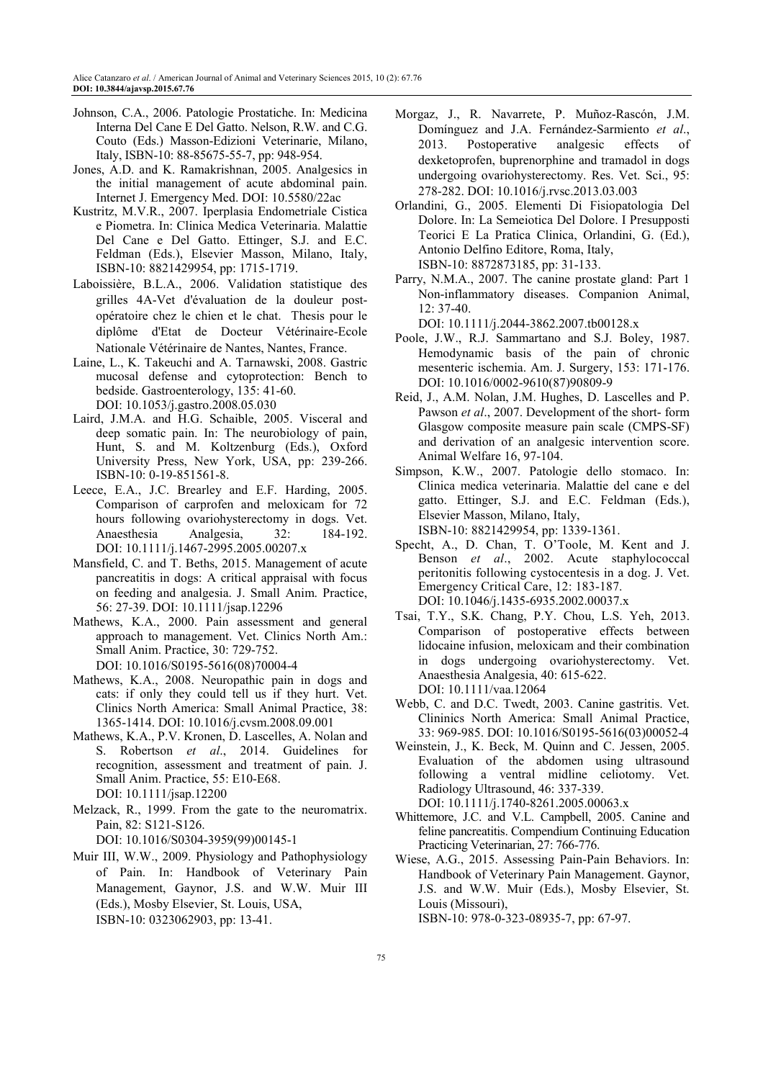- Johnson, C.A., 2006. Patologie Prostatiche. In: Medicina Interna Del Cane E Del Gatto. Nelson, R.W. and C.G. Couto (Eds.) Masson-Edizioni Veterinarie, Milano, Italy, ISBN-10: 88-85675-55-7, pp: 948-954.
- Jones, A.D. and K. Ramakrishnan, 2005. Analgesics in the initial management of acute abdominal pain. Internet J. Emergency Med. DOI: 10.5580/22ac
- Kustritz, M.V.R., 2007. Iperplasia Endometriale Cistica e Piometra. In: Clinica Medica Veterinaria. Malattie Del Cane e Del Gatto. Ettinger, S.J. and E.C. Feldman (Eds.), Elsevier Masson, Milano, Italy, ISBN-10: 8821429954, pp: 1715-1719.
- Laboissière, B.L.A., 2006. Validation statistique des grilles 4A-Vet d'évaluation de la douleur postopératoire chez le chien et le chat. Thesis pour le diplôme d'Etat de Docteur Vétérinaire-Ecole Nationale Vétérinaire de Nantes, Nantes, France.
- Laine, L., K. Takeuchi and A. Tarnawski, 2008. Gastric mucosal defense and cytoprotection: Bench to bedside. Gastroenterology, 135: 41-60. DOI: 10.1053/j.gastro.2008.05.030
- Laird, J.M.A. and H.G. Schaible, 2005. Visceral and deep somatic pain. In: The neurobiology of pain, Hunt, S. and M. Koltzenburg (Eds.), Oxford University Press, New York, USA, pp: 239-266. ISBN-10: 0-19-851561-8.
- Leece, E.A., J.C. Brearley and E.F. Harding, 2005. Comparison of carprofen and meloxicam for 72 hours following ovariohysterectomy in dogs. Vet. Anaesthesia Analgesia, 32: 184-192. DOI: 10.1111/j.1467-2995.2005.00207.x
- Mansfield, C. and T. Beths, 2015. Management of acute pancreatitis in dogs: A critical appraisal with focus on feeding and analgesia. J. Small Anim. Practice, 56: 27-39. DOI: 10.1111/jsap.12296
- Mathews, K.A., 2000. Pain assessment and general approach to management. Vet. Clinics North Am.: Small Anim. Practice, 30: 729-752. DOI: 10.1016/S0195-5616(08)70004-4
- Mathews, K.A., 2008. Neuropathic pain in dogs and cats: if only they could tell us if they hurt. Vet. Clinics North America: Small Animal Practice, 38: 1365-1414. DOI: 10.1016/j.cvsm.2008.09.001
- Mathews, K.A., P.V. Kronen, D. Lascelles, A. Nolan and S. Robertson *et al*., 2014. Guidelines for recognition, assessment and treatment of pain. J. Small Anim. Practice, 55: E10-E68. DOI: 10.1111/jsap.12200
- Melzack, R., 1999. From the gate to the neuromatrix. Pain, 82: S121-S126.

DOI: 10.1016/S0304-3959(99)00145-1

Muir III, W.W., 2009. Physiology and Pathophysiology of Pain. In: Handbook of Veterinary Pain Management, Gaynor, J.S. and W.W. Muir III (Eds.), Mosby Elsevier, St. Louis, USA, ISBN-10: 0323062903, pp: 13-41.

- Morgaz, J., R. Navarrete, P. Muñoz-Rascón, J.M. Domínguez and J.A. Fernández-Sarmiento *et al*., 2013. Postoperative analgesic effects of dexketoprofen, buprenorphine and tramadol in dogs undergoing ovariohysterectomy. Res. Vet. Sci., 95: 278-282. DOI: 10.1016/j.rvsc.2013.03.003
- Orlandini, G., 2005. Elementi Di Fisiopatologia Del Dolore. In: La Semeiotica Del Dolore. I Presupposti Teorici E La Pratica Clinica, Orlandini, G. (Ed.), Antonio Delfino Editore, Roma, Italy, ISBN-10: 8872873185, pp: 31-133.
- Parry, N.M.A., 2007. The canine prostate gland: Part 1 Non-inflammatory diseases. Companion Animal,  $12 \cdot 37 - 40$

DOI: 10.1111/j.2044-3862.2007.tb00128.x

- Poole, J.W., R.J. Sammartano and S.J. Boley, 1987. Hemodynamic basis of the pain of chronic mesenteric ischemia. Am. J. Surgery, 153: 171-176. DOI: 10.1016/0002-9610(87)90809-9
- Reid, J., A.M. Nolan, J.M. Hughes, D. Lascelles and P. Pawson *et al*., 2007. Development of the short- form Glasgow composite measure pain scale (CMPS-SF) and derivation of an analgesic intervention score. Animal Welfare 16, 97-104.
- Simpson, K.W., 2007. Patologie dello stomaco. In: Clinica medica veterinaria. Malattie del cane e del gatto. Ettinger, S.J. and E.C. Feldman (Eds.), Elsevier Masson, Milano, Italy, ISBN-10: 8821429954, pp: 1339-1361.
- Specht, A., D. Chan, T. O'Toole, M. Kent and J. Benson *et al*., 2002. Acute staphylococcal peritonitis following cystocentesis in a dog. J. Vet. Emergency Critical Care, 12: 183-187. DOI: 10.1046/j.1435-6935.2002.00037.x
- Tsai, T.Y., S.K. Chang, P.Y. Chou, L.S. Yeh, 2013. Comparison of postoperative effects between lidocaine infusion, meloxicam and their combination in dogs undergoing ovariohysterectomy. Vet. Anaesthesia Analgesia, 40: 615-622. DOI: 10.1111/vaa.12064
- Webb, C. and D.C. Twedt, 2003. Canine gastritis. Vet. Clininics North America: Small Animal Practice, 33: 969-985. DOI: 10.1016/S0195-5616(03)00052-4
- Weinstein, J., K. Beck, M. Quinn and C. Jessen, 2005. Evaluation of the abdomen using ultrasound following a ventral midline celiotomy. Vet. Radiology Ultrasound, 46: 337-339. DOI: 10.1111/j.1740-8261.2005.00063.x
- Whittemore, J.C. and V.L. Campbell, 2005. Canine and feline pancreatitis. Compendium Continuing Education Practicing Veterinarian, 27: 766-776.
- Wiese, A.G., 2015. Assessing Pain-Pain Behaviors. In: Handbook of Veterinary Pain Management. Gaynor, J.S. and W.W. Muir (Eds.), Mosby Elsevier, St. Louis (Missouri), ISBN-10: 978-0-323-08935-7, pp: 67-97.